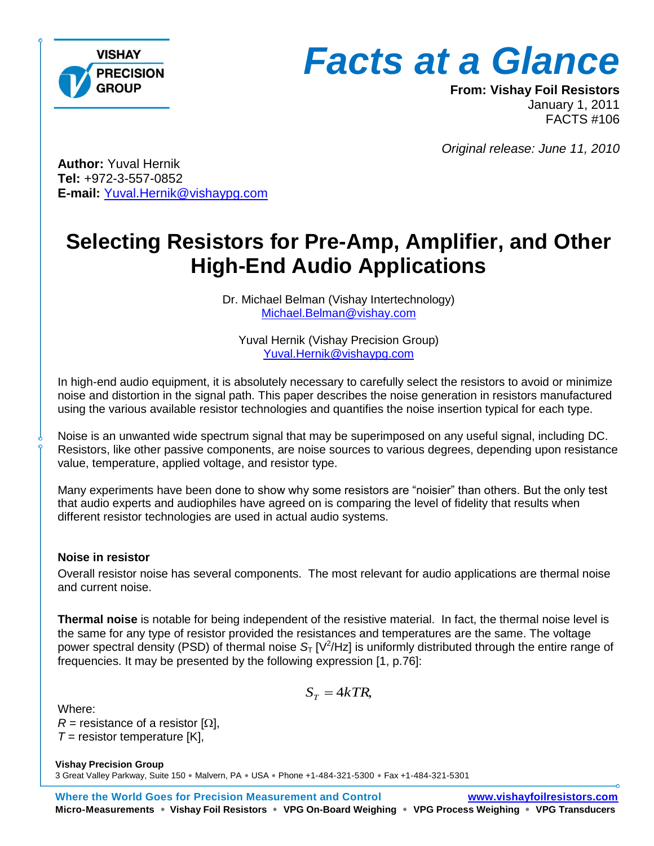

**From: Vishay Foil Resistors** January 1, 2011 FACTS #106

*Original release: June 11, 2010*

**Author:** Yuval Hernik **Tel:** +972-3-557-0852 **E-mail:** [Yuval.Hernik@vishaypg.com](mailto:Yuval.Hernik@vishaypg.com)

# **Selecting Resistors for Pre-Amp, Amplifier, and Other High-End Audio Applications**

Dr. Michael Belman (Vishay Intertechnology) [Michael.Belman@vishay.com](mailto:Michael.Belman@vishay.com)

Yuval Hernik (Vishay Precision Group) [Yuval.Hernik@vishaypg.com](mailto:Yuval.Hernik@vishaypg.com)

In high-end audio equipment, it is absolutely necessary to carefully select the resistors to avoid or minimize noise and distortion in the signal path. This paper describes the noise generation in resistors manufactured using the various available resistor technologies and quantifies the noise insertion typical for each type.

Noise is an unwanted wide spectrum signal that may be superimposed on any useful signal, including DC. Resistors, like other passive components, are noise sources to various degrees, depending upon resistance value, temperature, applied voltage, and resistor type.

Many experiments have been done to show why some resistors are "noisier" than others. But the only test that audio experts and audiophiles have agreed on is comparing the level of fidelity that results when different resistor technologies are used in actual audio systems.

#### **Noise in resistor**

Overall resistor noise has several components. The most relevant for audio applications are thermal noise and current noise.

**Thermal noise** is notable for being independent of the resistive material. In fact, the thermal noise level is the same for any type of resistor provided the resistances and temperatures are the same. The voltage power spectral density (PSD) of thermal noise S<sub>T</sub> [V<sup>2</sup>/Hz] is uniformly distributed through the entire range of frequencies. It may be presented by the following expression [1, p.76]:

$$
S_T = 4kTR,
$$

Where:

*R* = resistance of a resistor  $[\Omega]$ ,  $T =$  resistor temperature [K],

**Vishay Precision Group** 3 Great Valley Parkway, Suite 150 · Malvern, PA · USA · Phone +1-484-321-5300 · Fax +1-484-321-5301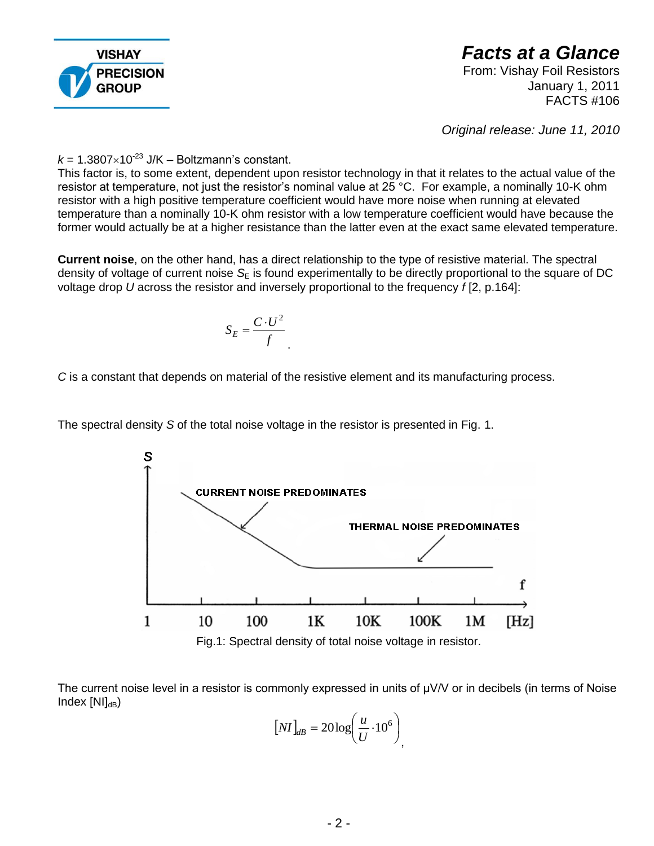

From: Vishay Foil Resistors January 1, 2011 FACTS #106

*Original release: June 11, 2010*

 $k = 1.3807 \times 10^{-23}$  J/K – Boltzmann's constant.

This factor is, to some extent, dependent upon resistor technology in that it relates to the actual value of the resistor at temperature, not just the resistor's nominal value at 25 °C. For example, a nominally 10-K ohm resistor with a high positive temperature coefficient would have more noise when running at elevated temperature than a nominally 10-K ohm resistor with a low temperature coefficient would have because the former would actually be at a higher resistance than the latter even at the exact same elevated temperature.

**Current noise**, on the other hand, has a direct relationship to the type of resistive material. The spectral density of voltage of current noise  $S_F$  is found experimentally to be directly proportional to the square of DC voltage drop *U* across the resistor and inversely proportional to the frequency *f* [2, p.164]:

$$
S_E = \frac{C \cdot U^2}{f}
$$

*C* is a constant that depends on material of the resistive element and its manufacturing process.

The spectral density *S* of the total noise voltage in the resistor is presented in Fig. 1.



Fig.1: Spectral density of total noise voltage in resistor.

The current noise level in a resistor is commonly expressed in units of μV/V or in decibels (in terms of Noise  $Index [NII_{dB}]$ 

$$
[NI]_{dB} = 20 \log \left(\frac{u}{U} \cdot 10^6\right)
$$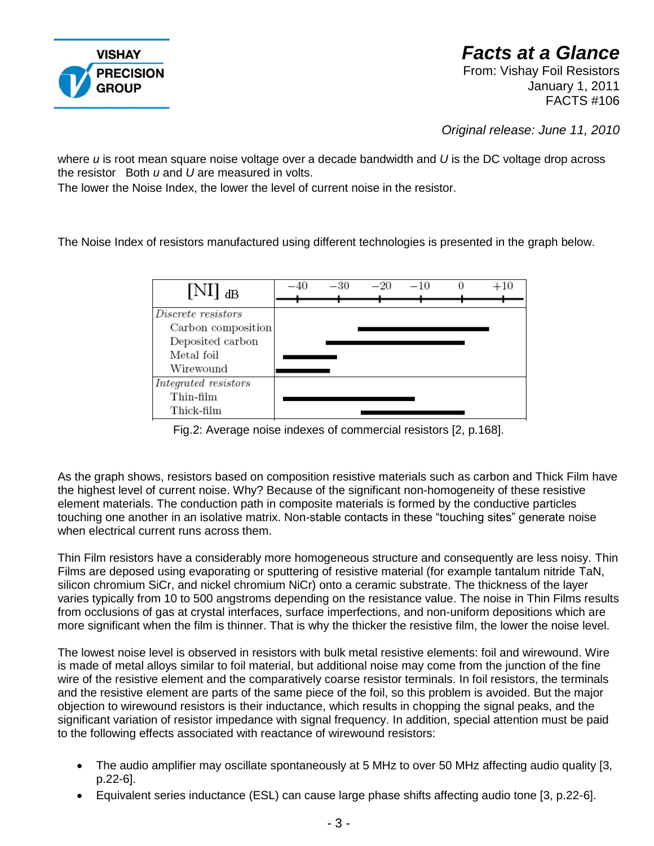

### *Facts at a Glance*  From: Vishay Foil Resistors

January 1, 2011 FACTS #106

*Original release: June 11, 2010*

where *u* is root mean square noise voltage over a decade bandwidth and *U* is the DC voltage drop across the resistor Both *u* and *U* are measured in volts.

The lower the Noise Index, the lower the level of current noise in the resistor.

The Noise Index of resistors manufactured using different technologies is presented in the graph below.



Fig.2: Average noise indexes of commercial resistors [2, p.168].

As the graph shows, resistors based on composition resistive materials such as carbon and Thick Film have the highest level of current noise. Why? Because of the significant non-homogeneity of these resistive element materials. The conduction path in composite materials is formed by the conductive particles touching one another in an isolative matrix. Non-stable contacts in these "touching sites" generate noise when electrical current runs across them.

Thin Film resistors have a considerably more homogeneous structure and consequently are less noisy. Thin Films are deposed using evaporating or sputtering of resistive material (for example tantalum nitride TaN, silicon chromium SiCr, and nickel chromium NiCr) onto a ceramic substrate. The thickness of the layer varies typically from 10 to 500 angstroms depending on the resistance value. The noise in Thin Films results from occlusions of gas at crystal interfaces, surface imperfections, and non-uniform depositions which are more significant when the film is thinner. That is why the thicker the resistive film, the lower the noise level.

The lowest noise level is observed in resistors with bulk metal resistive elements: foil and wirewound. Wire is made of metal alloys similar to foil material, but additional noise may come from the junction of the fine wire of the resistive element and the comparatively coarse resistor terminals. In foil resistors, the terminals and the resistive element are parts of the same piece of the foil, so this problem is avoided. But the major objection to wirewound resistors is their inductance, which results in chopping the signal peaks, and the significant variation of resistor impedance with signal frequency. In addition, special attention must be paid to the following effects associated with reactance of wirewound resistors:

- The audio amplifier may oscillate spontaneously at 5 MHz to over 50 MHz affecting audio quality [3, p.22-6].
- Equivalent series inductance (ESL) can cause large phase shifts affecting audio tone [3, p.22-6].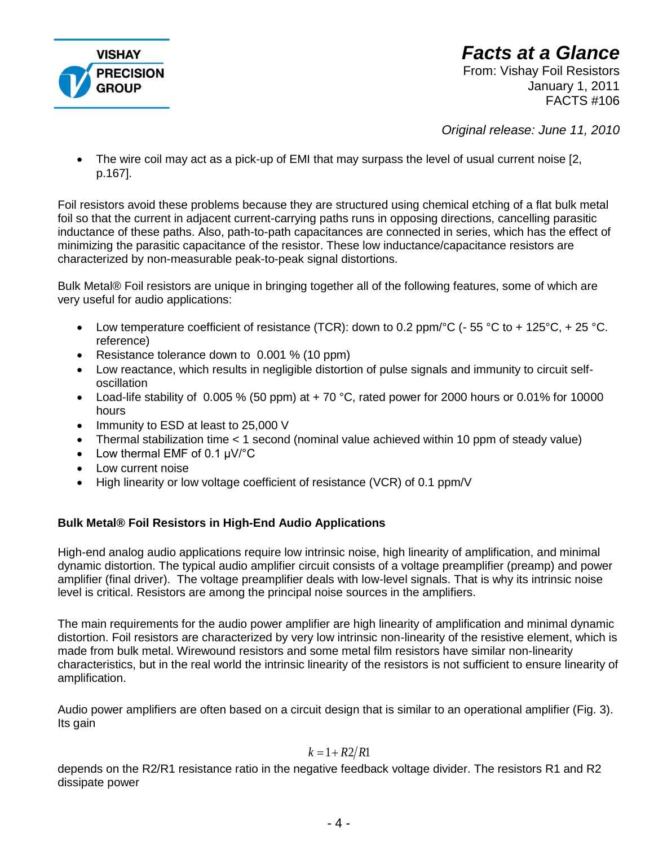

### *Facts at a Glance*  From: Vishay Foil Resistors

January 1, 2011 FACTS #106

*Original release: June 11, 2010*

 The wire coil may act as a pick-up of EMI that may surpass the level of usual current noise [2, p.167].

Foil resistors avoid these problems because they are structured using chemical etching of a flat bulk metal foil so that the current in adjacent current-carrying paths runs in opposing directions, cancelling parasitic inductance of these paths. Also, path-to-path capacitances are connected in series, which has the effect of minimizing the parasitic capacitance of the resistor. These low inductance/capacitance resistors are characterized by non-measurable peak-to-peak signal distortions.

Bulk Metal® Foil resistors are unique in bringing together all of the following features, some of which are very useful for audio applications:

- Low temperature coefficient of resistance (TCR): down to 0.2 ppm/ $\rm{°C}$  ( $\rm{-}55\rm{°C}$  to  $\rm{+}125\rm{°C}$ ,  $\rm{+}25\rm{°C}$ . reference)
- Resistance tolerance down to 0.001 % (10 ppm)
- Low reactance, which results in negligible distortion of pulse signals and immunity to circuit selfoscillation
- Load-life stability of 0.005 % (50 ppm) at  $+70$  °C, rated power for 2000 hours or 0.01% for 10000 hours
- Immunity to ESD at least to 25,000 V
- Thermal stabilization time < 1 second (nominal value achieved within 10 ppm of steady value)
- Low thermal EMF of 0.1 μV/°C
- Low current noise
- High linearity or low voltage coefficient of resistance (VCR) of 0.1 ppm/V

#### **Bulk Metal® Foil Resistors in High-End Audio Applications**

High-end analog audio applications require low intrinsic noise, high linearity of amplification, and minimal dynamic distortion. The typical audio amplifier circuit consists of a voltage preamplifier (preamp) and power amplifier (final driver). The voltage preamplifier deals with low-level signals. That is why its intrinsic noise level is critical. Resistors are among the principal noise sources in the amplifiers.

The main requirements for the audio power amplifier are high linearity of amplification and minimal dynamic distortion. Foil resistors are characterized by very low intrinsic non-linearity of the resistive element, which is made from bulk metal. Wirewound resistors and some metal film resistors have similar non-linearity characteristics, but in the real world the intrinsic linearity of the resistors is not sufficient to ensure linearity of amplification.

Audio power amplifiers are often based on a circuit design that is similar to an operational amplifier (Fig. 3). Its gain

#### $k = 1 + R2/R1$

depends on the R2/R1 resistance ratio in the negative feedback voltage divider. The resistors R1 and R2 dissipate power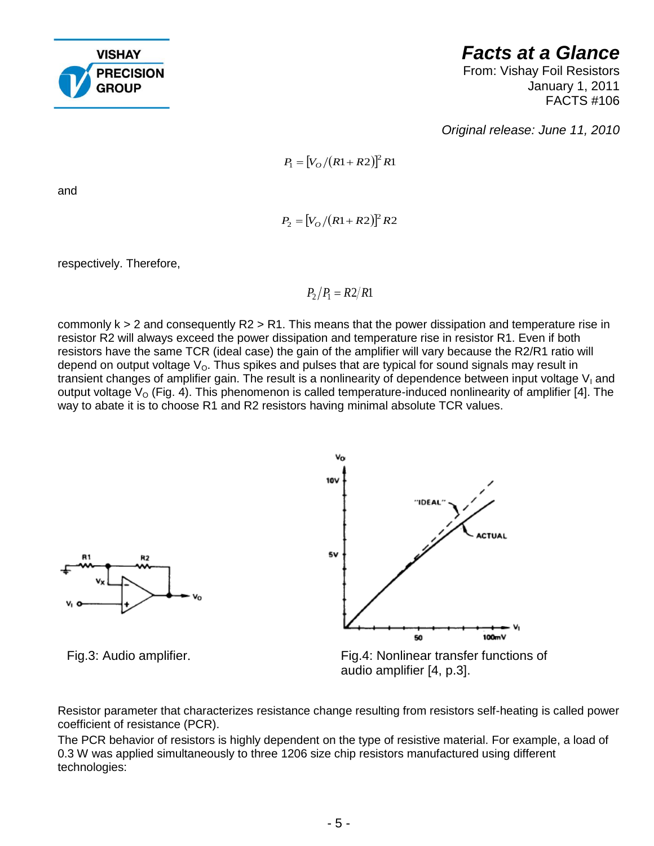

From: Vishay Foil Resistors January 1, 2011 FACTS #106

*Original release: June 11, 2010*

$$
P_1 = [V_O/(R1+R2)]^2 R1
$$

 $P_2 = [V_O / (R1 + R2)]^2 R2$ 

and

respectively. Therefore,

 $P_2/P_1 = R2/R1$ 

commonly k > 2 and consequently R2 > R1. This means that the power dissipation and temperature rise in resistor R2 will always exceed the power dissipation and temperature rise in resistor R1. Even if both resistors have the same TCR (ideal case) the gain of the amplifier will vary because the R2/R1 ratio will depend on output voltage  $V<sub>o</sub>$ . Thus spikes and pulses that are typical for sound signals may result in transient changes of amplifier gain. The result is a nonlinearity of dependence between input voltage  $V<sub>1</sub>$  and output voltage  $V_{\text{o}}$  (Fig. 4). This phenomenon is called temperature-induced nonlinearity of amplifier [4]. The way to abate it is to choose R1 and R2 resistors having minimal absolute TCR values.



Fig.4: Nonlinear transfer functions of audio amplifier [4, p.3].

Resistor parameter that characterizes resistance change resulting from resistors self-heating is called power coefficient of resistance (PCR).

The PCR behavior of resistors is highly dependent on the type of resistive material. For example, a load of 0.3 W was applied simultaneously to three 1206 size chip resistors manufactured using different technologies: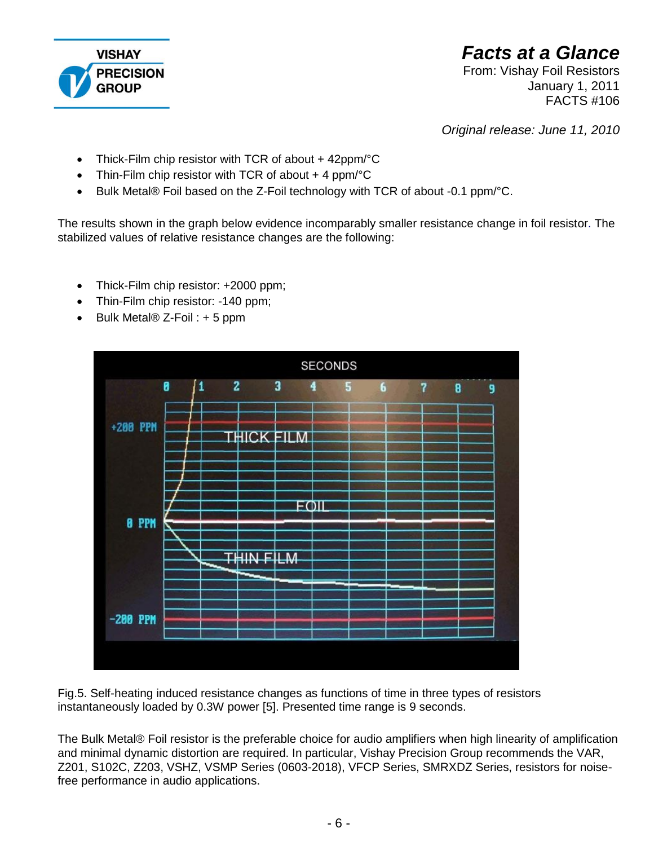

From: Vishay Foil Resistors January 1, 2011 FACTS #106

*Original release: June 11, 2010*

- Thick-Film chip resistor with TCR of about + 42ppm/°C
- Thin-Film chip resistor with TCR of about  $+$  4 ppm/ $\degree$ C
- $\bullet$  Bulk Metal® Foil based on the Z-Foil technology with TCR of about -0.1 ppm/ $\degree$ C.

The results shown in the graph below evidence incomparably smaller resistance change in foil resistor. The stabilized values of relative resistance changes are the following:

- Thick-Film chip resistor: +2000 ppm;
- Thin-Film chip resistor: -140 ppm;
- $\bullet$  Bulk Metal® Z-Foil : + 5 ppm



Fig.5. Self-heating induced resistance changes as functions of time in three types of resistors instantaneously loaded by 0.3W power [5]. Presented time range is 9 seconds.

The Bulk Metal® Foil resistor is the preferable choice for audio amplifiers when high linearity of amplification and minimal dynamic distortion are required. In particular, Vishay Precision Group recommends the VAR, Z201, S102C, Z203, VSHZ, VSMP Series (0603-2018), VFCP Series, SMRXDZ Series, resistors for noisefree performance in audio applications.